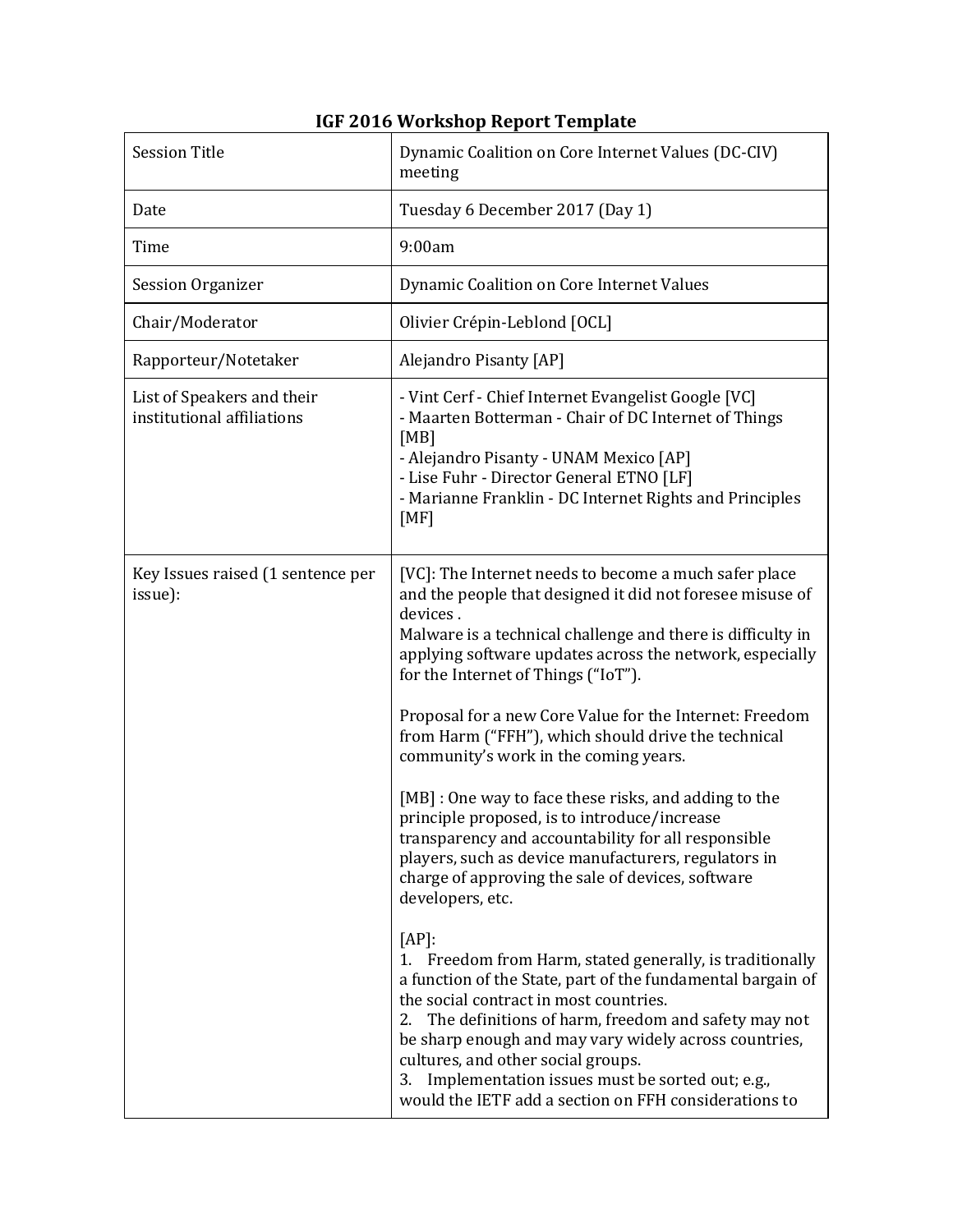| <b>Session Title</b>                                     | Dynamic Coalition on Core Internet Values (DC-CIV)<br>meeting                                                                                                                                                                                                                                                                                                                                                                                                                                                                                                                                                                                                                                                                                                                                                                                                                                                                                                                                                                                                                                                                                                                                                               |
|----------------------------------------------------------|-----------------------------------------------------------------------------------------------------------------------------------------------------------------------------------------------------------------------------------------------------------------------------------------------------------------------------------------------------------------------------------------------------------------------------------------------------------------------------------------------------------------------------------------------------------------------------------------------------------------------------------------------------------------------------------------------------------------------------------------------------------------------------------------------------------------------------------------------------------------------------------------------------------------------------------------------------------------------------------------------------------------------------------------------------------------------------------------------------------------------------------------------------------------------------------------------------------------------------|
| Date                                                     | Tuesday 6 December 2017 (Day 1)                                                                                                                                                                                                                                                                                                                                                                                                                                                                                                                                                                                                                                                                                                                                                                                                                                                                                                                                                                                                                                                                                                                                                                                             |
| Time                                                     | 9:00am                                                                                                                                                                                                                                                                                                                                                                                                                                                                                                                                                                                                                                                                                                                                                                                                                                                                                                                                                                                                                                                                                                                                                                                                                      |
| <b>Session Organizer</b>                                 | Dynamic Coalition on Core Internet Values                                                                                                                                                                                                                                                                                                                                                                                                                                                                                                                                                                                                                                                                                                                                                                                                                                                                                                                                                                                                                                                                                                                                                                                   |
| Chair/Moderator                                          | Olivier Crépin-Leblond [OCL]                                                                                                                                                                                                                                                                                                                                                                                                                                                                                                                                                                                                                                                                                                                                                                                                                                                                                                                                                                                                                                                                                                                                                                                                |
| Rapporteur/Notetaker                                     | Alejandro Pisanty [AP]                                                                                                                                                                                                                                                                                                                                                                                                                                                                                                                                                                                                                                                                                                                                                                                                                                                                                                                                                                                                                                                                                                                                                                                                      |
| List of Speakers and their<br>institutional affiliations | - Vint Cerf - Chief Internet Evangelist Google [VC]<br>- Maarten Botterman - Chair of DC Internet of Things<br>[MB]<br>- Alejandro Pisanty - UNAM Mexico [AP]<br>- Lise Fuhr - Director General ETNO [LF]<br>- Marianne Franklin - DC Internet Rights and Principles<br>[MF]                                                                                                                                                                                                                                                                                                                                                                                                                                                                                                                                                                                                                                                                                                                                                                                                                                                                                                                                                |
| Key Issues raised (1 sentence per<br>issue):             | [VC]: The Internet needs to become a much safer place<br>and the people that designed it did not foresee misuse of<br>devices.<br>Malware is a technical challenge and there is difficulty in<br>applying software updates across the network, especially<br>for the Internet of Things ("IoT").<br>Proposal for a new Core Value for the Internet: Freedom<br>from Harm ("FFH"), which should drive the technical<br>community's work in the coming years.<br>[MB] : One way to face these risks, and adding to the<br>principle proposed, is to introduce/increase<br>transparency and accountability for all responsible<br>players, such as device manufacturers, regulators in<br>charge of approving the sale of devices, software<br>developers, etc.<br>$[AP]$ :<br>1. Freedom from Harm, stated generally, is traditionally<br>a function of the State, part of the fundamental bargain of<br>the social contract in most countries.<br>The definitions of harm, freedom and safety may not<br>2.<br>be sharp enough and may vary widely across countries,<br>cultures, and other social groups.<br>Implementation issues must be sorted out; e.g.,<br>3.<br>would the IETF add a section on FFH considerations to |

## **IGF 2016 Workshop Report Template**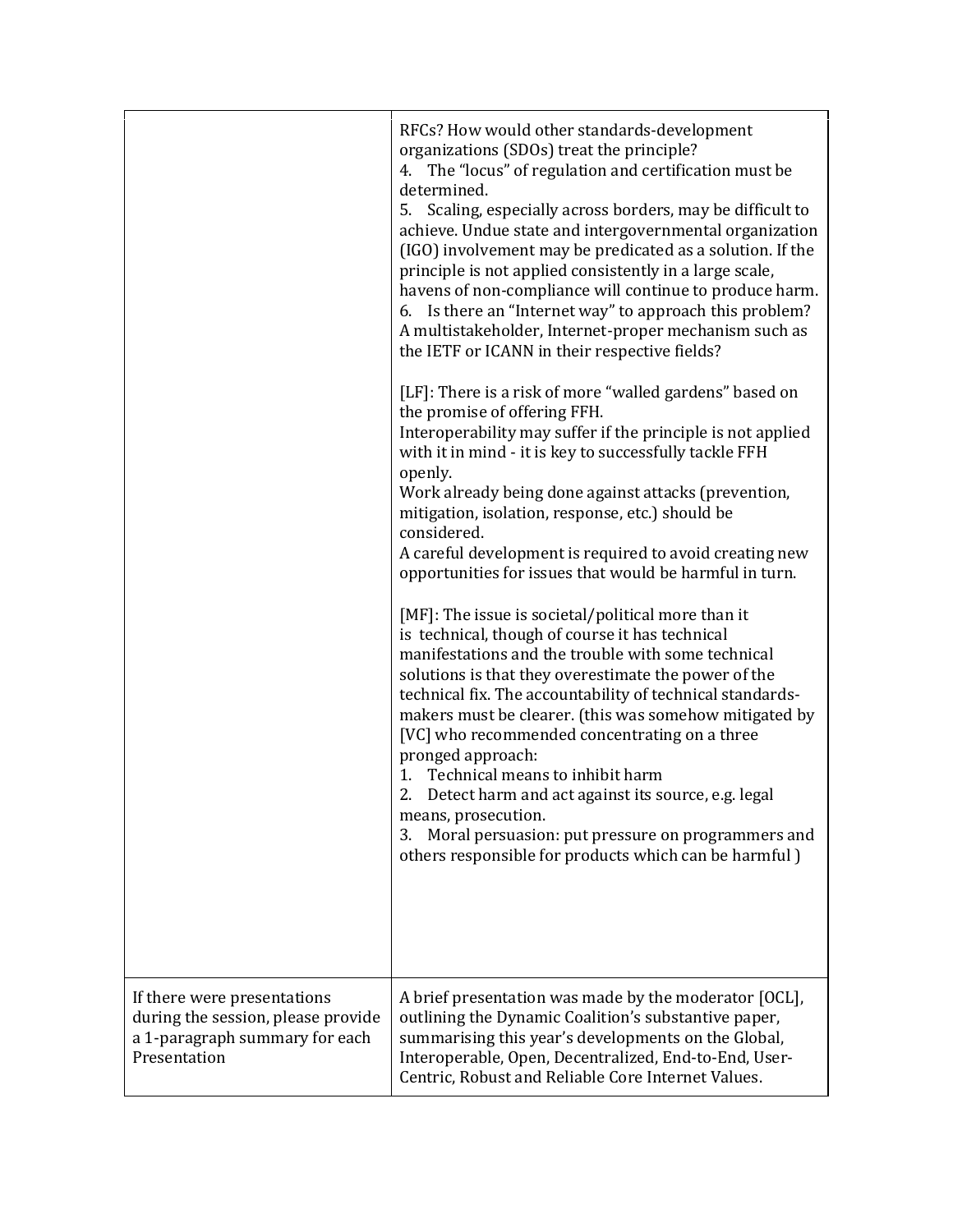|                                                                                                                     | RFCs? How would other standards-development<br>organizations (SDOs) treat the principle?<br>4. The "locus" of regulation and certification must be<br>determined.<br>5. Scaling, especially across borders, may be difficult to<br>achieve. Undue state and intergovernmental organization<br>(IGO) involvement may be predicated as a solution. If the<br>principle is not applied consistently in a large scale,<br>havens of non-compliance will continue to produce harm.<br>6. Is there an "Internet way" to approach this problem?<br>A multistakeholder, Internet-proper mechanism such as<br>the IETF or ICANN in their respective fields?<br>[LF]: There is a risk of more "walled gardens" based on<br>the promise of offering FFH.<br>Interoperability may suffer if the principle is not applied<br>with it in mind - it is key to successfully tackle FFH<br>openly.<br>Work already being done against attacks (prevention,<br>mitigation, isolation, response, etc.) should be<br>considered.<br>A careful development is required to avoid creating new<br>opportunities for issues that would be harmful in turn.<br>[MF]: The issue is societal/political more than it<br>is technical, though of course it has technical<br>manifestations and the trouble with some technical<br>solutions is that they overestimate the power of the<br>technical fix. The accountability of technical standards-<br>makers must be clearer. (this was somehow mitigated by<br>[VC] who recommended concentrating on a three<br>pronged approach:<br>1. Technical means to inhibit harm<br>2. Detect harm and act against its source, e.g. legal<br>means, prosecution.<br>Moral persuasion: put pressure on programmers and<br>3.<br>others responsible for products which can be harmful) |
|---------------------------------------------------------------------------------------------------------------------|--------------------------------------------------------------------------------------------------------------------------------------------------------------------------------------------------------------------------------------------------------------------------------------------------------------------------------------------------------------------------------------------------------------------------------------------------------------------------------------------------------------------------------------------------------------------------------------------------------------------------------------------------------------------------------------------------------------------------------------------------------------------------------------------------------------------------------------------------------------------------------------------------------------------------------------------------------------------------------------------------------------------------------------------------------------------------------------------------------------------------------------------------------------------------------------------------------------------------------------------------------------------------------------------------------------------------------------------------------------------------------------------------------------------------------------------------------------------------------------------------------------------------------------------------------------------------------------------------------------------------------------------------------------------------------------------------------------------------------------------------------------------------------------------------|
| If there were presentations<br>during the session, please provide<br>a 1-paragraph summary for each<br>Presentation | A brief presentation was made by the moderator [OCL],<br>outlining the Dynamic Coalition's substantive paper,<br>summarising this year's developments on the Global,<br>Interoperable, Open, Decentralized, End-to-End, User-<br>Centric, Robust and Reliable Core Internet Values.                                                                                                                                                                                                                                                                                                                                                                                                                                                                                                                                                                                                                                                                                                                                                                                                                                                                                                                                                                                                                                                                                                                                                                                                                                                                                                                                                                                                                                                                                                              |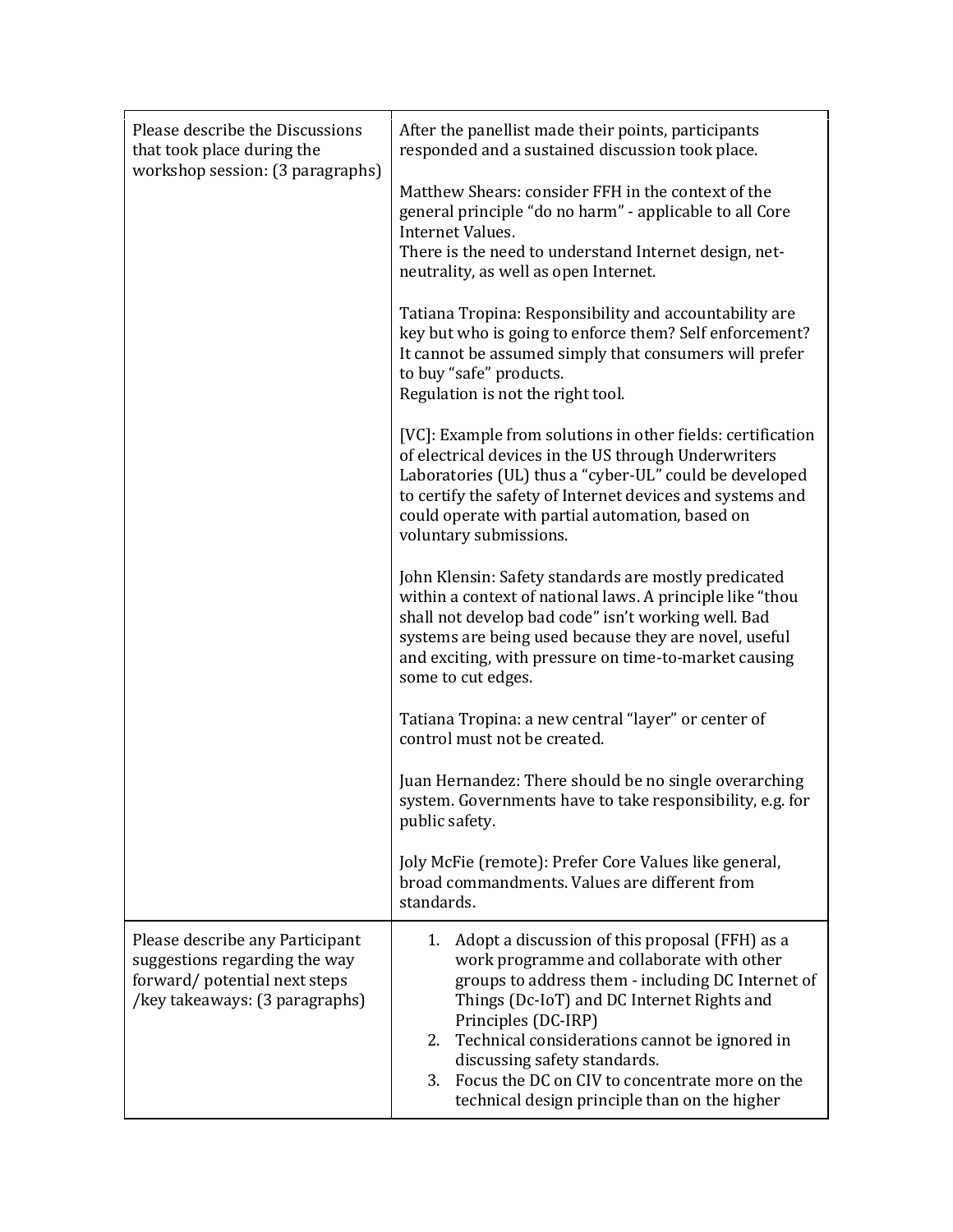| Please describe the Discussions<br>that took place during the<br>workshop session: (3 paragraphs)                                  | After the panellist made their points, participants<br>responded and a sustained discussion took place.                                                                                                                                                                                                                                                                                                            |
|------------------------------------------------------------------------------------------------------------------------------------|--------------------------------------------------------------------------------------------------------------------------------------------------------------------------------------------------------------------------------------------------------------------------------------------------------------------------------------------------------------------------------------------------------------------|
|                                                                                                                                    | Matthew Shears: consider FFH in the context of the<br>general principle "do no harm" - applicable to all Core<br>Internet Values.<br>There is the need to understand Internet design, net-<br>neutrality, as well as open Internet.                                                                                                                                                                                |
|                                                                                                                                    | Tatiana Tropina: Responsibility and accountability are<br>key but who is going to enforce them? Self enforcement?<br>It cannot be assumed simply that consumers will prefer<br>to buy "safe" products.<br>Regulation is not the right tool.                                                                                                                                                                        |
|                                                                                                                                    | [VC]: Example from solutions in other fields: certification<br>of electrical devices in the US through Underwriters<br>Laboratories (UL) thus a "cyber-UL" could be developed<br>to certify the safety of Internet devices and systems and<br>could operate with partial automation, based on<br>voluntary submissions.                                                                                            |
|                                                                                                                                    | John Klensin: Safety standards are mostly predicated<br>within a context of national laws. A principle like "thou<br>shall not develop bad code" isn't working well. Bad<br>systems are being used because they are novel, useful<br>and exciting, with pressure on time-to-market causing<br>some to cut edges.                                                                                                   |
|                                                                                                                                    | Tatiana Tropina: a new central "layer" or center of<br>control must not be created.                                                                                                                                                                                                                                                                                                                                |
|                                                                                                                                    | Juan Hernandez: There should be no single overarching<br>system. Governments have to take responsibility, e.g. for<br>public safety.                                                                                                                                                                                                                                                                               |
|                                                                                                                                    | Joly McFie (remote): Prefer Core Values like general,<br>broad commandments. Values are different from<br>standards.                                                                                                                                                                                                                                                                                               |
| Please describe any Participant<br>suggestions regarding the way<br>forward/potential next steps<br>/key takeaways: (3 paragraphs) | 1. Adopt a discussion of this proposal (FFH) as a<br>work programme and collaborate with other<br>groups to address them - including DC Internet of<br>Things (Dc-IoT) and DC Internet Rights and<br>Principles (DC-IRP)<br>2. Technical considerations cannot be ignored in<br>discussing safety standards.<br>3. Focus the DC on CIV to concentrate more on the<br>technical design principle than on the higher |